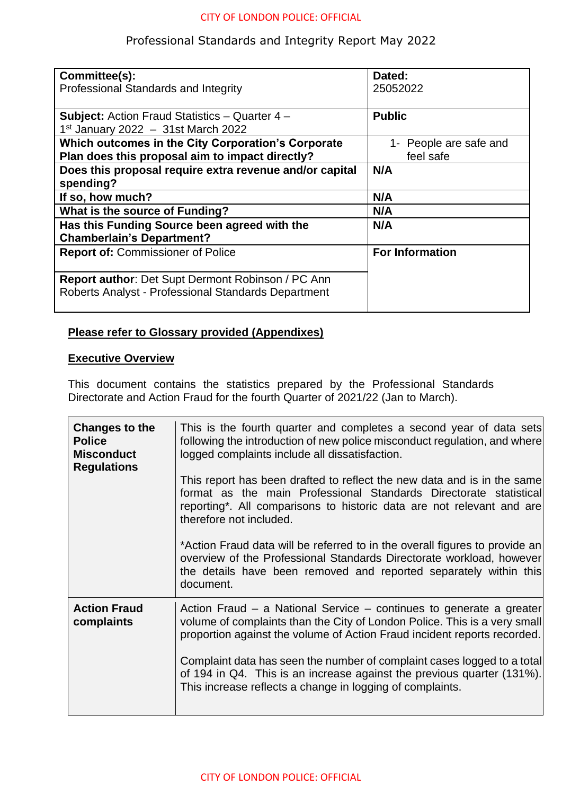## Professional Standards and Integrity Report May 2022

| Committee(s):<br>Professional Standards and Integrity                                                           | Dated:<br>25052022                  |
|-----------------------------------------------------------------------------------------------------------------|-------------------------------------|
| <b>Subject:</b> Action Fraud Statistics – Quarter 4 –<br>$1st$ January 2022 - 31st March 2022                   | <b>Public</b>                       |
| Which outcomes in the City Corporation's Corporate<br>Plan does this proposal aim to impact directly?           | 1- People are safe and<br>feel safe |
| Does this proposal require extra revenue and/or capital<br>spending?                                            | N/A                                 |
| If so, how much?                                                                                                | N/A                                 |
| What is the source of Funding?                                                                                  | N/A                                 |
| Has this Funding Source been agreed with the<br><b>Chamberlain's Department?</b>                                | N/A                                 |
| <b>Report of: Commissioner of Police</b>                                                                        | <b>For Information</b>              |
| <b>Report author: Det Supt Dermont Robinson / PC Ann</b><br>Roberts Analyst - Professional Standards Department |                                     |

## **Please refer to Glossary provided (Appendixes)**

## **Executive Overview**

This document contains the statistics prepared by the Professional Standards Directorate and Action Fraud for the fourth Quarter of 2021/22 (Jan to March).

| Changes to the<br><b>Police</b><br><b>Misconduct</b><br><b>Regulations</b> | This is the fourth quarter and completes a second year of data sets<br>following the introduction of new police misconduct regulation, and where<br>logged complaints include all dissatisfaction.<br>This report has been drafted to reflect the new data and is in the same<br>format as the main Professional Standards Directorate statistical<br>reporting <sup>*</sup> . All comparisons to historic data are not relevant and are<br>therefore not included.<br>*Action Fraud data will be referred to in the overall figures to provide an<br>overview of the Professional Standards Directorate workload, however<br>the details have been removed and reported separately within this<br>document. |
|----------------------------------------------------------------------------|--------------------------------------------------------------------------------------------------------------------------------------------------------------------------------------------------------------------------------------------------------------------------------------------------------------------------------------------------------------------------------------------------------------------------------------------------------------------------------------------------------------------------------------------------------------------------------------------------------------------------------------------------------------------------------------------------------------|
| <b>Action Fraud</b><br>complaints                                          | Action Fraud – a National Service – continues to generate a greater<br>volume of complaints than the City of London Police. This is a very small<br>proportion against the volume of Action Fraud incident reports recorded.<br>Complaint data has seen the number of complaint cases logged to a total<br>of 194 in Q4. This is an increase against the previous quarter (131%).<br>This increase reflects a change in logging of complaints.                                                                                                                                                                                                                                                               |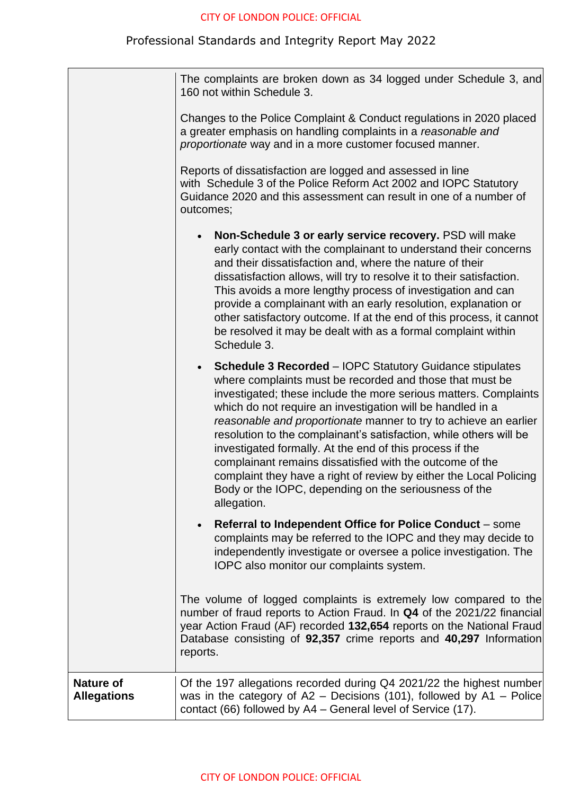# Professional Standards and Integrity Report May 2022

|                                        | The complaints are broken down as 34 logged under Schedule 3, and<br>160 not within Schedule 3.                                                                                                                                                                                                                                                                                                                                                                                                                                                                                                                                                                               |
|----------------------------------------|-------------------------------------------------------------------------------------------------------------------------------------------------------------------------------------------------------------------------------------------------------------------------------------------------------------------------------------------------------------------------------------------------------------------------------------------------------------------------------------------------------------------------------------------------------------------------------------------------------------------------------------------------------------------------------|
|                                        | Changes to the Police Complaint & Conduct regulations in 2020 placed<br>a greater emphasis on handling complaints in a reasonable and<br>proportionate way and in a more customer focused manner.                                                                                                                                                                                                                                                                                                                                                                                                                                                                             |
|                                        | Reports of dissatisfaction are logged and assessed in line<br>with Schedule 3 of the Police Reform Act 2002 and IOPC Statutory<br>Guidance 2020 and this assessment can result in one of a number of<br>outcomes;                                                                                                                                                                                                                                                                                                                                                                                                                                                             |
|                                        | Non-Schedule 3 or early service recovery. PSD will make<br>early contact with the complainant to understand their concerns<br>and their dissatisfaction and, where the nature of their<br>dissatisfaction allows, will try to resolve it to their satisfaction.<br>This avoids a more lengthy process of investigation and can<br>provide a complainant with an early resolution, explanation or<br>other satisfactory outcome. If at the end of this process, it cannot<br>be resolved it may be dealt with as a formal complaint within<br>Schedule 3.                                                                                                                      |
|                                        | <b>Schedule 3 Recorded - IOPC Statutory Guidance stipulates</b><br>where complaints must be recorded and those that must be<br>investigated; these include the more serious matters. Complaints<br>which do not require an investigation will be handled in a<br>reasonable and proportionate manner to try to achieve an earlier<br>resolution to the complainant's satisfaction, while others will be<br>investigated formally. At the end of this process if the<br>complainant remains dissatisfied with the outcome of the<br>complaint they have a right of review by either the Local Policing<br>Body or the IOPC, depending on the seriousness of the<br>allegation. |
|                                        | Referral to Independent Office for Police Conduct – some<br>$\bullet$<br>complaints may be referred to the IOPC and they may decide to<br>independently investigate or oversee a police investigation. The<br>IOPC also monitor our complaints system.                                                                                                                                                                                                                                                                                                                                                                                                                        |
|                                        | The volume of logged complaints is extremely low compared to the<br>number of fraud reports to Action Fraud. In Q4 of the 2021/22 financial<br>year Action Fraud (AF) recorded 132,654 reports on the National Fraud<br>Database consisting of 92,357 crime reports and 40,297 Information<br>reports.                                                                                                                                                                                                                                                                                                                                                                        |
| <b>Nature of</b><br><b>Allegations</b> | Of the 197 allegations recorded during Q4 2021/22 the highest number<br>was in the category of $A2 -$ Decisions (101), followed by $A1 -$ Police<br>contact (66) followed by A4 - General level of Service (17).                                                                                                                                                                                                                                                                                                                                                                                                                                                              |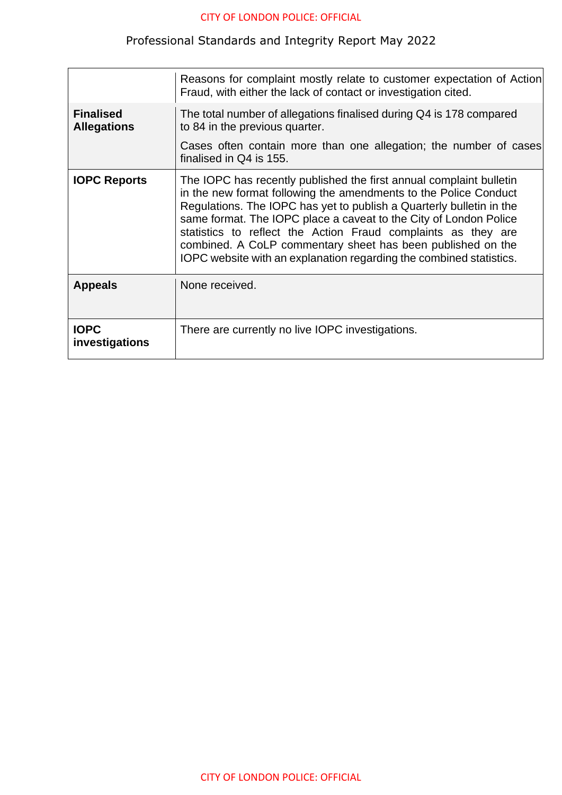# Professional Standards and Integrity Report May 2022

|                                        | Reasons for complaint mostly relate to customer expectation of Action<br>Fraud, with either the lack of contact or investigation cited.                                                                                                                                                                                                                                                                                                                                                     |
|----------------------------------------|---------------------------------------------------------------------------------------------------------------------------------------------------------------------------------------------------------------------------------------------------------------------------------------------------------------------------------------------------------------------------------------------------------------------------------------------------------------------------------------------|
| <b>Finalised</b><br><b>Allegations</b> | The total number of allegations finalised during Q4 is 178 compared<br>to 84 in the previous quarter.                                                                                                                                                                                                                                                                                                                                                                                       |
|                                        | Cases often contain more than one allegation; the number of cases<br>finalised in Q4 is 155.                                                                                                                                                                                                                                                                                                                                                                                                |
| <b>IOPC Reports</b>                    | The IOPC has recently published the first annual complaint bulletin<br>in the new format following the amendments to the Police Conduct<br>Regulations. The IOPC has yet to publish a Quarterly bulletin in the<br>same format. The IOPC place a caveat to the City of London Police<br>statistics to reflect the Action Fraud complaints as they are<br>combined. A CoLP commentary sheet has been published on the<br>IOPC website with an explanation regarding the combined statistics. |
| <b>Appeals</b>                         | None received.                                                                                                                                                                                                                                                                                                                                                                                                                                                                              |
| <b>IOPC</b><br>investigations          | There are currently no live IOPC investigations.                                                                                                                                                                                                                                                                                                                                                                                                                                            |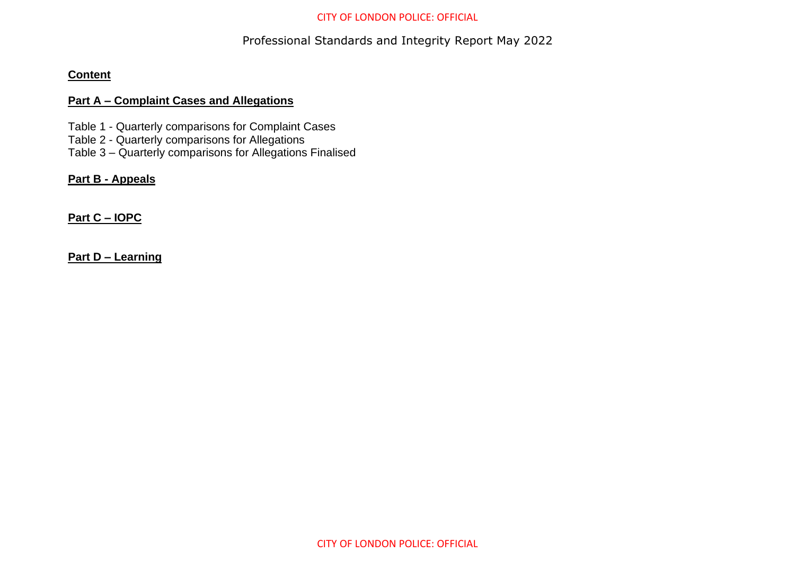## Professional Standards and Integrity Report May 2022

#### **Content**

#### **Part A – Complaint Cases and Allegations**

Table 1 - Quarterly comparisons for Complaint Cases

- Table 2 Quarterly comparisons for Allegations
- Table 3 Quarterly comparisons for Allegations Finalised

## **Part B - Appeals**

## **Part C – IOPC**

**Part D – Learning**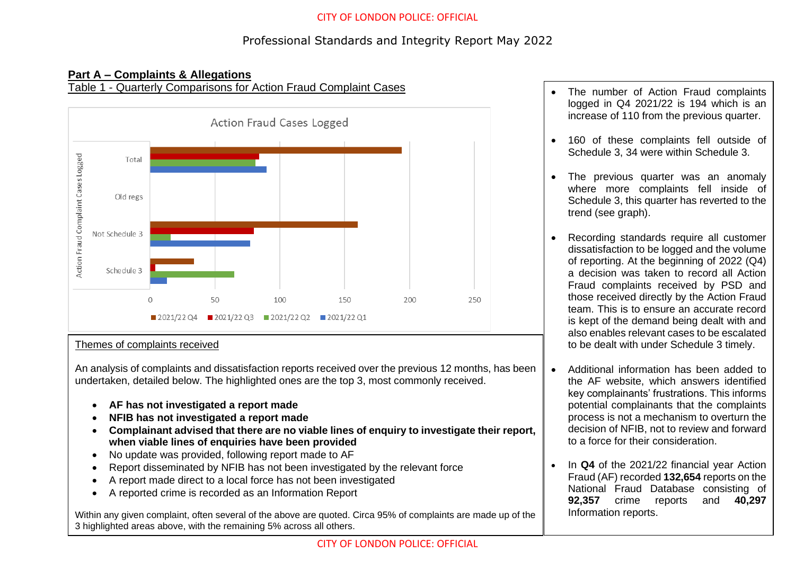## Professional Standards and Integrity Report May 2022

## **Part A – Complaints & Allegations**

Table 1 - Quarterly Comparisons for Action Fraud Complaint Cases



#### Themes of complaints received

An analysis of complaints and dissatisfaction reports received over the previous 12 months, has been undertaken, detailed below. The highlighted ones are the top 3, most commonly received.

- **AF has not investigated a report made**
- **NFIB has not investigated a report made**
- **Complainant advised that there are no viable lines of enquiry to investigate their report, when viable lines of enquiries have been provided**
- No update was provided, following report made to AF
- Report disseminated by NFIB has not been investigated by the relevant force
- A report made direct to a local force has not been investigated
- A reported crime is recorded as an Information Report

Within any given complaint, often several of the above are quoted. Circa 95% of complaints are made up of the 3 highlighted areas above, with the remaining 5% across all others.

- The number of Action Fraud complaints logged in Q4 2021/22 is 194 which is an increase of 110 from the previous quarter.
- 160 of these complaints fell outside of Schedule 3, 34 were within Schedule 3.
- The previous quarter was an anomaly where more complaints fell inside of Schedule 3, this quarter has reverted to the trend (see graph).
- Recording standards require all customer dissatisfaction to be logged and the volume of reporting. At the beginning of 2022 (Q4) a decision was taken to record all Action Fraud complaints received by PSD and those received directly by the Action Fraud team. This is to ensure an accurate record is kept of the demand being dealt with and also enables relevant cases to be escalated to be dealt with under Schedule 3 timely.
- Additional information has been added to the AF website, which answers identified key complainants' frustrations. This informs potential complainants that the complaints process is not a mechanism to overturn the decision of NFIB, not to review and forward to a force for their consideration.
- In **Q4** of the 2021/22 financial year Action Fraud (AF) recorded **132,654** reports on the National Fraud Database consisting of **92,357** crime reports and **40,297**  Information reports.

 $\overline{\phantom{a}}$  . The complaint figures (total) representations (total) representations (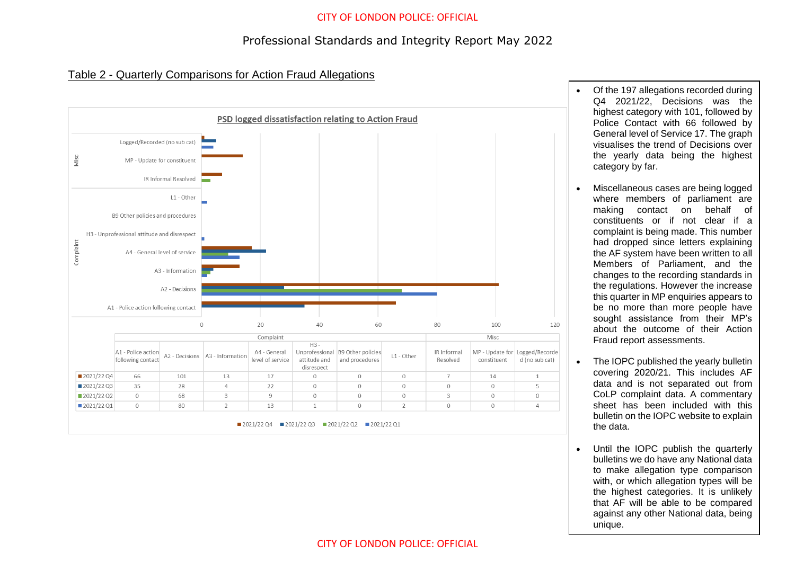## Professional Standards and Integrity Report May 2022

#### Table 2 - Quarterly Comparisons for Action Fraud Allegations



- Of the 197 allegations recorded during Q4 2021/22, Decisions was the highest category with 101, followed by Police Contact with 66 followed by General level of Service 17. The graph visualises the trend of Decisions over the yearly data being the highest category by far.
- Miscellaneous cases are being logged where members of parliament are making contact on behalf of constituents or if not clear if a complaint is being made. This number had dropped since letters explaining the AF system have been written to all Members of Parliament, and the changes to the recording standards in the regulations. However the increase this quarter in MP enquiries appears to be no more than more people have sought assistance from their MP's about the outcome of their Action Fraud report assessments.
- The IOPC published the yearly bulletin covering 2020/21. This includes AF data and is not separated out from CoLP complaint data. A commentary sheet has been included with this bulletin on the IOPC website to explain the data.
- Until the IOPC publish the quarterly bulletins we do have any National data to make allegation type comparison with, or which allegation types will be the highest categories. It is unlikely that AF will be able to be compared against any other National data, being unique.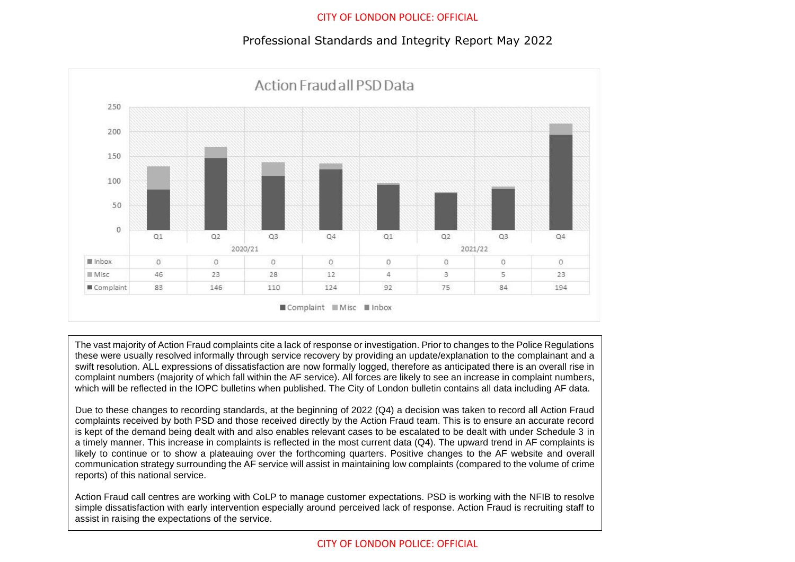### Professional Standards and Integrity Report May 2022



The vast majority of Action Fraud complaints cite a lack of response or investigation. Prior to changes to the Police Regulations these were usually resolved informally through service recovery by providing an update/explanation to the complainant and a swift resolution. ALL expressions of dissatisfaction are now formally logged, therefore as anticipated there is an overall rise in complaint numbers (majority of which fall within the AF service). All forces are likely to see an increase in complaint numbers, which will be reflected in the IOPC bulletins when published. The City of London bulletin contains all data including AF data.

Due to these changes to recording standards, at the beginning of 2022 (Q4) a decision was taken to record all Action Fraud complaints received by both PSD and those received directly by the Action Fraud team. This is to ensure an accurate record is kept of the demand being dealt with and also enables relevant cases to be escalated to be dealt with under Schedule 3 in a timely manner. This increase in complaints is reflected in the most current data (Q4). The upward trend in AF complaints is likely to continue or to show a plateauing over the forthcoming quarters. Positive changes to the AF website and overall communication strategy surrounding the AF service will assist in maintaining low complaints (compared to the volume of crime reports) of this national service.

Action Fraud call centres are working with CoLP to manage customer expectations. PSD is working with the NFIB to resolve simple dissatisfaction with early intervention especially around perceived lack of response. Action Fraud is recruiting staff to assist in raising the expectations of the service.

#### CITY OF LONDON POLICE: OFFICIAL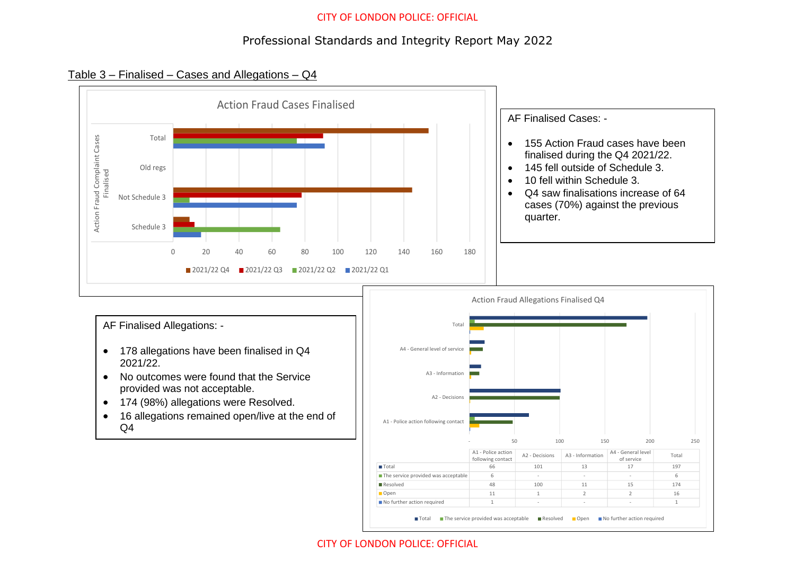## Professional Standards and Integrity Report May 2022

#### Table 3 – Finalised – Cases and Allegations – Q4



#### CITY OF LONDON POLICE: OFFICIAL